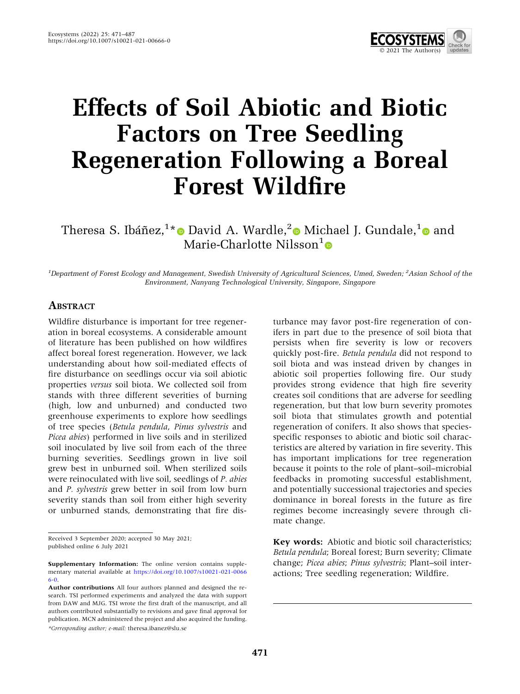

# Effects of Soil Abiotic and Biotic Factors on Tree Seedling Regeneration Following a Boreal Forest Wildfire

Theresa S. Ibáñez, $^{1*}$  $^{1*}$  $^{1*}$ © David A. Wardle, $^{2}$  $^{2}$  $^{2}$ © Michael J. Gundale, $^{1}$  $^{1}$  $^{1}$ © and Marie-Charlotte Nilsson<sup>1</sup>

<sup>1</sup>Department of Forest Ecology and Management, Swedish University of Agricultural Sciences, Umeå, Sweden; <sup>2</sup>Asian School of the Environment, Nanyang Technological University, Singapore, Singapore

#### **ABSTRACT**

Wildfire disturbance is important for tree regeneration in boreal ecosystems. A considerable amount of literature has been published on how wildfires affect boreal forest regeneration. However, we lack understanding about how soil-mediated effects of fire disturbance on seedlings occur via soil abiotic properties versus soil biota. We collected soil from stands with three different severities of burning (high, low and unburned) and conducted two greenhouse experiments to explore how seedlings of tree species (Betula pendula, Pinus sylvestris and Picea abies) performed in live soils and in sterilized soil inoculated by live soil from each of the three burning severities. Seedlings grown in live soil grew best in unburned soil. When sterilized soils were reinoculated with live soil, seedlings of P. abies and P. sylvestris grew better in soil from low burn severity stands than soil from either high severity or unburned stands, demonstrating that fire dis-

Received 3 September 2020; accepted 30 May 2021; published online 6 July 2021

\*Corresponding author; e-mail: theresa.ibanez@slu.se

turbance may favor post-fire regeneration of conifers in part due to the presence of soil biota that persists when fire severity is low or recovers quickly post-fire. Betula pendula did not respond to soil biota and was instead driven by changes in abiotic soil properties following fire. Our study provides strong evidence that high fire severity creates soil conditions that are adverse for seedling regeneration, but that low burn severity promotes soil biota that stimulates growth and potential regeneration of conifers. It also shows that speciesspecific responses to abiotic and biotic soil characteristics are altered by variation in fire severity. This has important implications for tree regeneration because it points to the role of plant–soil–microbial feedbacks in promoting successful establishment, and potentially successional trajectories and species dominance in boreal forests in the future as fire regimes become increasingly severe through climate change.

Key words: Abiotic and biotic soil characteristics; Betula pendula; Boreal forest; Burn severity; Climate change; Picea abies; Pinus sylvestris; Plant–soil interactions; Tree seedling regeneration; Wildfire.

Supplementary Information: The online version contains supplementary material available at [https://doi.org/10.1007/s10021-021-0066](https://doi.org/10.1007/s10021-021-00666-0) [6-0](https://doi.org/10.1007/s10021-021-00666-0).

Author contributions All four authors planned and designed the research. TSI performed experiments and analyzed the data with support from DAW and MJG. TSI wrote the first draft of the manuscript, and all authors contributed substantially to revisions and gave final approval for publication. MCN administered the project and also acquired the funding.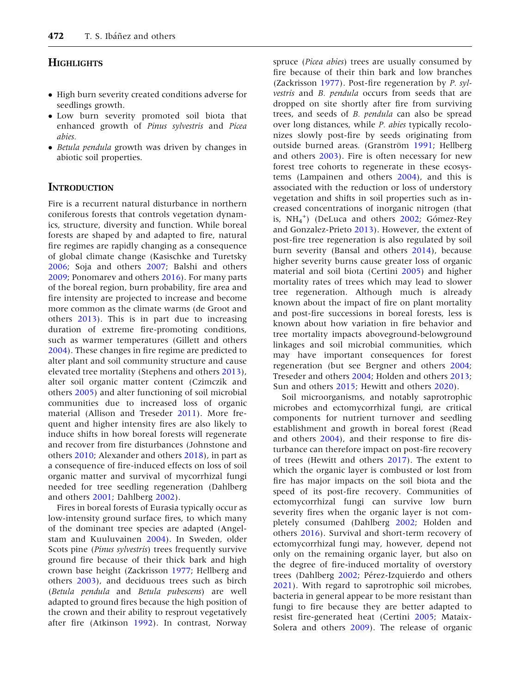# **HIGHLIGHTS**

- High burn severity created conditions adverse for seedlings growth.
- Low burn severity promoted soil biota that enhanced growth of Pinus sylvestris and Picea abies.
- Betula pendula growth was driven by changes in abiotic soil properties.

### **INTRODUCTION**

Fire is a recurrent natural disturbance in northern coniferous forests that controls vegetation dynamics, structure, diversity and function. While boreal forests are shaped by and adapted to fire, natural fire regimes are rapidly changing as a consequence of global climate change (Kasischke and Turetsky [2006;](#page-15-0) Soja and others [2007](#page-15-0); Balshi and others [2009;](#page-13-0) Ponomarev and others [2016](#page-15-0)). For many parts of the boreal region, burn probability, fire area and fire intensity are projected to increase and become more common as the climate warms (de Groot and others [2013\)](#page-14-0). This is in part due to increasing duration of extreme fire-promoting conditions, such as warmer temperatures (Gillett and others [2004\)](#page-14-0). These changes in fire regime are predicted to alter plant and soil community structure and cause elevated tree mortality (Stephens and others [2013](#page-15-0)), alter soil organic matter content (Czimczik and others [2005](#page-14-0)) and alter functioning of soil microbial communities due to increased loss of organic material (Allison and Treseder [2011\)](#page-13-0). More frequent and higher intensity fires are also likely to induce shifts in how boreal forests will regenerate and recover from fire disturbances (Johnstone and others [2010](#page-15-0); Alexander and others [2018](#page-13-0)), in part as a consequence of fire-induced effects on loss of soil organic matter and survival of mycorrhizal fungi needed for tree seedling regeneration (Dahlberg and others [2001;](#page-14-0) Dahlberg [2002\)](#page-14-0).

Fires in boreal forests of Eurasia typically occur as low-intensity ground surface fires, to which many of the dominant tree species are adapted (Angelstam and Kuuluvainen [2004](#page-13-0)). In Sweden, older Scots pine (Pinus sylvestris) trees frequently survive ground fire because of their thick bark and high crown base height (Zackrisson [1977](#page-16-0); Hellberg and others [2003\)](#page-14-0), and deciduous trees such as birch (Betula pendula and Betula pubescens) are well adapted to ground fires because the high position of the crown and their ability to resprout vegetatively after fire (Atkinson [1992\)](#page-13-0). In contrast, Norway

spruce (Picea abies) trees are usually consumed by fire because of their thin bark and low branches (Zackrisson [1977\)](#page-16-0). Post-fire regeneration by P. sylvestris and B. pendula occurs from seeds that are dropped on site shortly after fire from surviving trees, and seeds of B. pendula can also be spread over long distances, while P. abies typically recolonizes slowly post-fire by seeds originating from outside burned areas. (Granström [1991](#page-14-0); Hellberg and others [2003\)](#page-14-0). Fire is often necessary for new forest tree cohorts to regenerate in these ecosystems (Lampainen and others [2004\)](#page-15-0), and this is associated with the reduction or loss of understory vegetation and shifts in soil properties such as increased concentrations of inorganic nitrogen (that is,  $NH_4^+$ ) (DeLuca and others [2002;](#page-14-0) Gómez-Rey and Gonzalez-Prieto [2013\)](#page-14-0). However, the extent of post-fire tree regeneration is also regulated by soil burn severity (Bansal and others [2014\)](#page-13-0), because higher severity burns cause greater loss of organic material and soil biota (Certini [2005\)](#page-14-0) and higher mortality rates of trees which may lead to slower tree regeneration. Although much is already known about the impact of fire on plant mortality and post-fire successions in boreal forests, less is known about how variation in fire behavior and tree mortality impacts aboveground-belowground linkages and soil microbial communities, which may have important consequences for forest regeneration (but see Bergner and others [2004](#page-13-0); Treseder and others [2004](#page-15-0); Holden and others [2013](#page-14-0); Sun and others [2015](#page-15-0); Hewitt and others [2020](#page-14-0)).

Soil microorganisms, and notably saprotrophic microbes and ectomycorrhizal fungi, are critical components for nutrient turnover and seedling establishment and growth in boreal forest (Read and others [2004\)](#page-15-0), and their response to fire disturbance can therefore impact on post-fire recovery of trees (Hewitt and others [2017\)](#page-14-0). The extent to which the organic layer is combusted or lost from fire has major impacts on the soil biota and the speed of its post-fire recovery. Communities of ectomycorrhizal fungi can survive low burn severity fires when the organic layer is not completely consumed (Dahlberg [2002;](#page-14-0) Holden and others [2016](#page-14-0)). Survival and short-term recovery of ectomycorrhizal fungi may, however, depend not only on the remaining organic layer, but also on the degree of fire-induced mortality of overstory trees (Dahlberg [2002](#page-14-0); Pérez-Izquierdo and others [2021\)](#page-15-0). With regard to saprotrophic soil microbes, bacteria in general appear to be more resistant than fungi to fire because they are better adapted to resist fire-generated heat (Certini [2005;](#page-14-0) Mataix-Solera and others [2009](#page-15-0)). The release of organic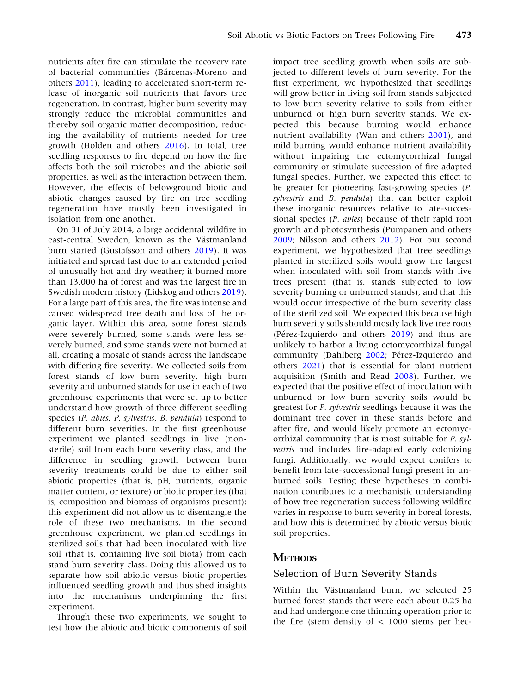nutrients after fire can stimulate the recovery rate of bacterial communities (Bárcenas-Moreno and others [2011\)](#page-13-0), leading to accelerated short-term release of inorganic soil nutrients that favors tree regeneration. In contrast, higher burn severity may strongly reduce the microbial communities and thereby soil organic matter decomposition, reducing the availability of nutrients needed for tree growth (Holden and others [2016](#page-14-0)). In total, tree seedling responses to fire depend on how the fire affects both the soil microbes and the abiotic soil properties, as well as the interaction between them. However, the effects of belowground biotic and abiotic changes caused by fire on tree seedling regeneration have mostly been investigated in isolation from one another.

On 31 of July 2014, a large accidental wildfire in east-central Sweden, known as the Västmanland burn started (Gustafsson and others [2019\)](#page-14-0). It was initiated and spread fast due to an extended period of unusually hot and dry weather; it burned more than 13,000 ha of forest and was the largest fire in Swedish modern history (Lidskog and others [2019](#page-15-0)). For a large part of this area, the fire was intense and caused widespread tree death and loss of the organic layer. Within this area, some forest stands were severely burned, some stands were less severely burned, and some stands were not burned at all, creating a mosaic of stands across the landscape with differing fire severity. We collected soils from forest stands of low burn severity, high burn severity and unburned stands for use in each of two greenhouse experiments that were set up to better understand how growth of three different seedling species (P. abies, P. sylvestris, B. pendula) respond to different burn severities. In the first greenhouse experiment we planted seedlings in live (nonsterile) soil from each burn severity class, and the difference in seedling growth between burn severity treatments could be due to either soil abiotic properties (that is, pH, nutrients, organic matter content, or texture) or biotic properties (that is, composition and biomass of organisms present); this experiment did not allow us to disentangle the role of these two mechanisms. In the second greenhouse experiment, we planted seedlings in sterilized soils that had been inoculated with live soil (that is, containing live soil biota) from each stand burn severity class. Doing this allowed us to separate how soil abiotic versus biotic properties influenced seedling growth and thus shed insights into the mechanisms underpinning the first experiment.

Through these two experiments, we sought to test how the abiotic and biotic components of soil

impact tree seedling growth when soils are subjected to different levels of burn severity. For the first experiment, we hypothesized that seedlings will grow better in living soil from stands subjected to low burn severity relative to soils from either unburned or high burn severity stands. We expected this because burning would enhance nutrient availability (Wan and others [2001](#page-16-0)), and mild burning would enhance nutrient availability without impairing the ectomycorrhizal fungal community or stimulate succession of fire adapted fungal species. Further, we expected this effect to be greater for pioneering fast-growing species (P. sylvestris and B. pendula) that can better exploit these inorganic resources relative to late-successional species (P. abies) because of their rapid root growth and photosynthesis (Pumpanen and others [2009;](#page-15-0) Nilsson and others [2012](#page-15-0)). For our second experiment, we hypothesized that tree seedlings planted in sterilized soils would grow the largest when inoculated with soil from stands with live trees present (that is, stands subjected to low severity burning or unburned stands), and that this would occur irrespective of the burn severity class of the sterilized soil. We expected this because high burn severity soils should mostly lack live tree roots (Pérez-Izquierdo and others  $2019$ ) and thus are unlikely to harbor a living ectomycorrhizal fungal community (Dahlberg [2002;](#page-14-0) Pérez-Izquierdo and others [2021](#page-15-0)) that is essential for plant nutrient acquisition (Smith and Read [2008](#page-15-0)). Further, we expected that the positive effect of inoculation with unburned or low burn severity soils would be greatest for P. sylvestris seedlings because it was the dominant tree cover in these stands before and after fire, and would likely promote an ectomycorrhizal community that is most suitable for P. sylvestris and includes fire-adapted early colonizing fungi. Additionally, we would expect conifers to benefit from late-successional fungi present in unburned soils. Testing these hypotheses in combination contributes to a mechanistic understanding of how tree regeneration success following wildfire varies in response to burn severity in boreal forests, and how this is determined by abiotic versus biotic soil properties.

#### **METHODS**

#### Selection of Burn Severity Stands

Within the Västmanland burn, we selected 25 burned forest stands that were each about 0.25 ha and had undergone one thinning operation prior to the fire (stem density of  $< 1000$  stems per hec-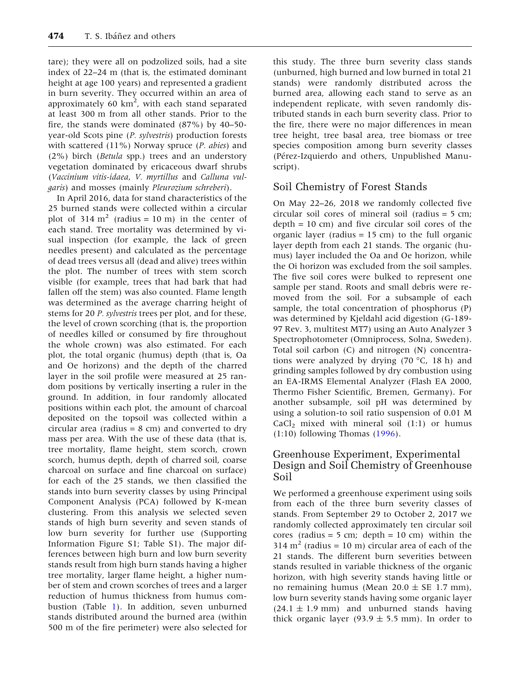tare); they were all on podzolized soils, had a site index of 22–24 m (that is, the estimated dominant height at age 100 years) and represented a gradient in burn severity. They occurred within an area of approximately 60 km<sup>2</sup>, with each stand separated at least 300 m from all other stands. Prior to the fire, the stands were dominated (87%) by 40–50 year-old Scots pine (P. sylvestris) production forests with scattered  $(11\%)$  Norway spruce (*P. abies*) and (2%) birch (Betula spp.) trees and an understory vegetation dominated by ericaceous dwarf shrubs (Vaccinium vitis-idaea, V. myrtillus and Calluna vulgaris) and mosses (mainly Pleurozium schreberi).

In April 2016, data for stand characteristics of the 25 burned stands were collected within a circular plot of  $314 \text{ m}^2$  (radius = 10 m) in the center of each stand. Tree mortality was determined by visual inspection (for example, the lack of green needles present) and calculated as the percentage of dead trees versus all (dead and alive) trees within the plot. The number of trees with stem scorch visible (for example, trees that had bark that had fallen off the stem) was also counted. Flame length was determined as the average charring height of stems for 20 P. sylvestris trees per plot, and for these, the level of crown scorching (that is, the proportion of needles killed or consumed by fire throughout the whole crown) was also estimated. For each plot, the total organic (humus) depth (that is, Oa and Oe horizons) and the depth of the charred layer in the soil profile were measured at 25 random positions by vertically inserting a ruler in the ground. In addition, in four randomly allocated positions within each plot, the amount of charcoal deposited on the topsoil was collected within a circular area (radius =  $8 \text{ cm}$ ) and converted to dry mass per area. With the use of these data (that is, tree mortality, flame height, stem scorch, crown scorch, humus depth, depth of charred soil, coarse charcoal on surface and fine charcoal on surface) for each of the 25 stands, we then classified the stands into burn severity classes by using Principal Component Analysis (PCA) followed by K-mean clustering. From this analysis we selected seven stands of high burn severity and seven stands of low burn severity for further use (Supporting Information Figure S1; Table S1). The major differences between high burn and low burn severity stands result from high burn stands having a higher tree mortality, larger flame height, a higher number of stem and crown scorches of trees and a larger reduction of humus thickness from humus combustion (Table [1](#page-4-0)). In addition, seven unburned stands distributed around the burned area (within 500 m of the fire perimeter) were also selected for

this study. The three burn severity class stands (unburned, high burned and low burned in total 21 stands) were randomly distributed across the burned area, allowing each stand to serve as an independent replicate, with seven randomly distributed stands in each burn severity class. Prior to the fire, there were no major differences in mean tree height, tree basal area, tree biomass or tree species composition among burn severity classes (Pérez-Izquierdo and others, Unpublished Manuscript).

# Soil Chemistry of Forest Stands

On May 22–26, 2018 we randomly collected five circular soil cores of mineral soil (radius = 5 cm;  $depth = 10$  cm) and five circular soil cores of the organic layer (radius  $= 15$  cm) to the full organic layer depth from each 21 stands. The organic (humus) layer included the Oa and Oe horizon, while the Oi horizon was excluded from the soil samples. The five soil cores were bulked to represent one sample per stand. Roots and small debris were removed from the soil. For a subsample of each sample, the total concentration of phosphorus (P) was determined by Kjeldahl acid digestion (G-189- 97 Rev. 3, multitest MT7) using an Auto Analyzer 3 Spectrophotometer (Omniprocess, Solna, Sweden). Total soil carbon (C) and nitrogen (N) concentrations were analyzed by drying  $(70 °C, 18 h)$  and grinding samples followed by dry combustion using an EA-IRMS Elemental Analyzer (Flash EA 2000, Thermo Fisher Scientific, Bremen, Germany). For another subsample, soil pH was determined by using a solution-to soil ratio suspension of 0.01 M  $CaCl<sub>2</sub>$  mixed with mineral soil (1:1) or humus (1:10) following Thomas [\(1996](#page-15-0)).

# Greenhouse Experiment, Experimental Design and Soil Chemistry of Greenhouse Soil

We performed a greenhouse experiment using soils from each of the three burn severity classes of stands. From September 29 to October 2, 2017 we randomly collected approximately ten circular soil cores (radius = 5 cm; depth =  $10$  cm) within the  $314 \text{ m}^2$  (radius = 10 m) circular area of each of the 21 stands. The different burn severities between stands resulted in variable thickness of the organic horizon, with high severity stands having little or no remaining humus (Mean  $20.0 \pm SE$  1.7 mm), low burn severity stands having some organic layer  $(24.1 \pm 1.9 \text{ mm})$  and unburned stands having thick organic layer (93.9  $\pm$  5.5 mm). In order to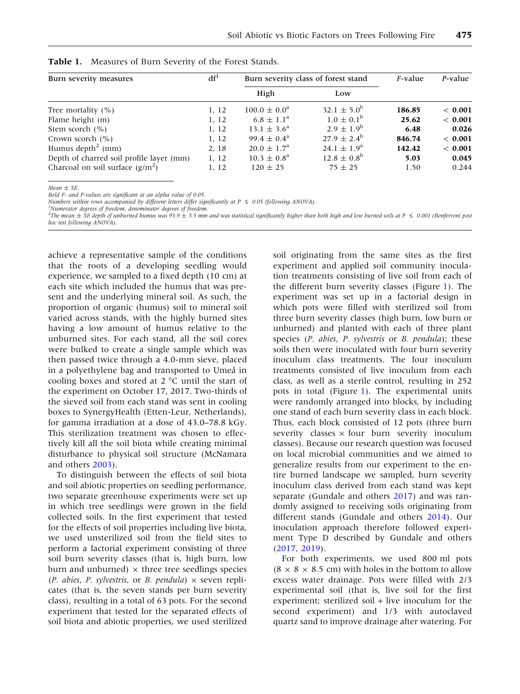| Burn severity measures                   | df <sup>1</sup> | Burn severity class of forest stand | $F$ -value             | $P$ -value |         |
|------------------------------------------|-----------------|-------------------------------------|------------------------|------------|---------|
|                                          |                 | High                                | Low                    |            |         |
| Tree mortality $(\% )$                   | 1, 12           | $100.0 \pm 0.0^a$                   | $32.1 \pm 5.0^b$       | 186.85     | < 0.001 |
| Flame height (m)                         | 1, 12           | $6.8 \pm 1.1^{\circ}$               | $1.0 \pm 0.1^{\rm b}$  | 25.62      | < 0.001 |
| Stem scorch $(% )$                       | 1, 12           | $13.1 \pm 3.6^a$                    | $2.9 \pm 1.9^b$        | 6.48       | 0.026   |
| Crown scorch $(\% )$                     | 1, 12           | $99.4 \pm 0.4^{\text{a}}$           | $27.9 \pm 2.4^b$       | 846.74     | < 0.001 |
| Humus depth <sup>2</sup> (mm)            | 2, 18           | $20.0 \pm 1.7^{\circ}$              | $24.1 \pm 1.9^{\circ}$ | 142.42     | < 0.001 |
| Depth of charred soil profile layer (mm) | 1, 12           | $10.3 \pm 0.8^{\circ}$              | $12.8 \pm 0.8^{\rm b}$ | 5.03       | 0.045   |
| Charcoal on soil surface $(g/m^2)$       | 1, 12           | $120 \pm 25$                        | $75 \pm 25$            | 1.50       | 0.244   |

<span id="page-4-0"></span>

| Table 1. Measures of Burn Severity of the Forest Stands. |  |
|----------------------------------------------------------|--|
|----------------------------------------------------------|--|

 $Mean \pm SE$ 

Bold F- and P-values are significant at an alpha value of 0.05.

Numbers within rows accompanied by different letters differ significantly at  $P \le 0.05$  (following ANOVA).

Numerator degrees of freedom, denominator degrees of freedom.

 $^2$ The mean  $\pm$  SE depth of unburned humus was 93.9  $\pm$  5.5 mm and was statistical significantly higher than both high and low burned soils at P  $\leq$  0.001 (Bonferroni post hoc test following ANOVA).

achieve a representative sample of the conditions that the roots of a developing seedling would experience, we sampled to a fixed depth (10 cm) at each site which included the humus that was present and the underlying mineral soil. As such, the proportion of organic (humus) soil to mineral soil varied across stands, with the highly burned sites having a low amount of humus relative to the unburned sites. For each stand, all the soil cores were bulked to create a single sample which was then passed twice through a 4.0-mm sieve, placed in a polyethylene bag and transported to Umeå in cooling boxes and stored at  $2^{\circ}$ C until the start of the experiment on October 17, 2017. Two-thirds of the sieved soil from each stand was sent in cooling boxes to SynergyHealth (Etten-Leur, Netherlands), for gamma irradiation at a dose of 43.0–78.8 kGy. This sterilization treatment was chosen to effectively kill all the soil biota while creating minimal disturbance to physical soil structure (McNamara and others [2003\)](#page-15-0).

To distinguish between the effects of soil biota and soil abiotic properties on seedling performance, two separate greenhouse experiments were set up in which tree seedlings were grown in the field collected soils. In the first experiment that tested for the effects of soil properties including live biota, we used unsterilized soil from the field sites to perform a factorial experiment consisting of three soil burn severity classes (that is, high burn, low burn and unburned)  $\times$  three tree seedlings species (P. abies, P. sylvestris, or B. pendula)  $\times$  seven replicates (that is, the seven stands per burn severity class), resulting in a total of 63 pots. For the second experiment that tested for the separated effects of soil biota and abiotic properties, we used sterilized

soil originating from the same sites as the first experiment and applied soil community inoculation treatments consisting of live soil from each of the different burn severity classes (Figure [1\)](#page-5-0). The experiment was set up in a factorial design in which pots were filled with sterilized soil from three burn severity classes (high burn, low burn or unburned) and planted with each of three plant species (P. abies, P. sylvestris or B. pendula); these soils then were inoculated with four burn severity inoculum class treatments. The four inoculum treatments consisted of live inoculum from each class, as well as a sterile control, resulting in 252 pots in total (Figure [1](#page-5-0)). The experimental units were randomly arranged into blocks, by including one stand of each burn severity class in each block. Thus, each block consisted of 12 pots (three burn severity classes  $\times$  four burn severity inoculum classes). Because our research question was focused on local microbial communities and we aimed to generalize results from our experiment to the entire burned landscape we sampled, burn severity inoculum class derived from each stand was kept separate (Gundale and others [2017\)](#page-14-0) and was randomly assigned to receiving soils originating from different stands (Gundale and others [2014\)](#page-14-0). Our inoculation approach therefore followed experiment Type D described by Gundale and others ([2017,](#page-14-0) [2019](#page-14-0)).

For both experiments, we used 800 ml pots  $(8 \times 8 \times 8.5$  cm) with holes in the bottom to allow excess water drainage. Pots were filled with 2/3 experimental soil (that is, live soil for the first experiment; sterilized soil + live inoculum for the second experiment) and 1/3 with autoclaved quartz sand to improve drainage after watering. For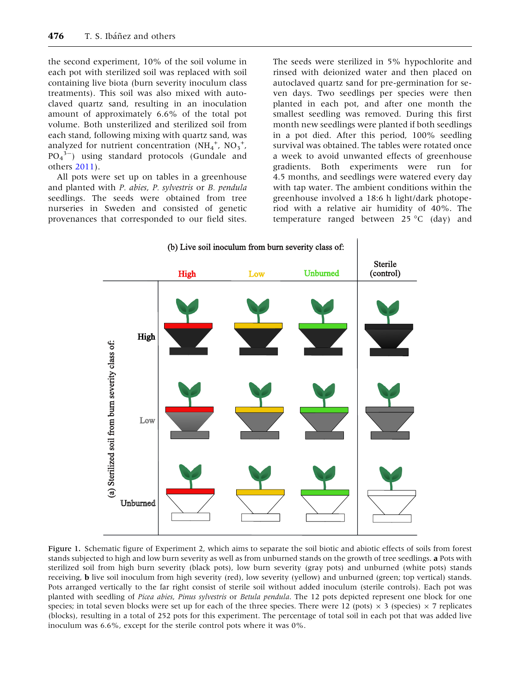<span id="page-5-0"></span>the second experiment, 10% of the soil volume in each pot with sterilized soil was replaced with soil containing live biota (burn severity inoculum class treatments). This soil was also mixed with autoclaved quartz sand, resulting in an inoculation amount of approximately 6.6% of the total pot volume. Both unsterilized and sterilized soil from each stand, following mixing with quartz sand, was analyzed for nutrient concentration  $(NH_4^+, NO_3^+,$  $PO_4^{3-}$ ) using standard protocols (Gundale and others [2011\)](#page-14-0).

All pots were set up on tables in a greenhouse and planted with P. abies, P. sylvestris or B. pendula seedlings. The seeds were obtained from tree nurseries in Sweden and consisted of genetic provenances that corresponded to our field sites.

The seeds were sterilized in 5% hypochlorite and rinsed with deionized water and then placed on autoclaved quartz sand for pre-germination for seven days. Two seedlings per species were then planted in each pot, and after one month the smallest seedling was removed. During this first month new seedlings were planted if both seedlings in a pot died. After this period, 100% seedling survival was obtained. The tables were rotated once a week to avoid unwanted effects of greenhouse gradients. Both experiments were run for 4.5 months, and seedlings were watered every day with tap water. The ambient conditions within the greenhouse involved a 18:6 h light/dark photoperiod with a relative air humidity of 40%. The temperature ranged between 25  $\degree$ C (day) and



Figure 1. Schematic figure of Experiment 2, which aims to separate the soil biotic and abiotic effects of soils from forest stands subjected to high and low burn severity as well as from unburned stands on the growth of tree seedlings. a Pots with sterilized soil from high burn severity (black pots), low burn severity (gray pots) and unburned (white pots) stands receiving, b live soil inoculum from high severity (red), low severity (yellow) and unburned (green; top vertical) stands. Pots arranged vertically to the far right consist of sterile soil without added inoculum (sterile controls). Each pot was planted with seedling of Picea abies, Pinus sylvestris or Betula pendula. The 12 pots depicted represent one block for one species; in total seven blocks were set up for each of the three species. There were 12 (pots)  $\times$  3 (species)  $\times$  7 replicates (blocks), resulting in a total of 252 pots for this experiment. The percentage of total soil in each pot that was added live inoculum was 6.6%, except for the sterile control pots where it was 0%.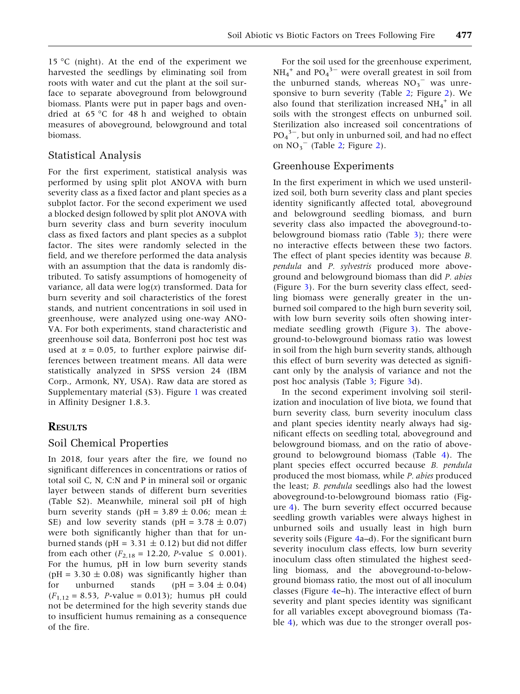15 °C (night). At the end of the experiment we harvested the seedlings by eliminating soil from roots with water and cut the plant at the soil surface to separate aboveground from belowground biomass. Plants were put in paper bags and ovendried at  $65^{\circ}$ C for 48 h and weighed to obtain measures of aboveground, belowground and total biomass.

# Statistical Analysis

For the first experiment, statistical analysis was performed by using split plot ANOVA with burn severity class as a fixed factor and plant species as a subplot factor. For the second experiment we used a blocked design followed by split plot ANOVA with burn severity class and burn severity inoculum class as fixed factors and plant species as a subplot factor. The sites were randomly selected in the field, and we therefore performed the data analysis with an assumption that the data is randomly distributed. To satisfy assumptions of homogeneity of variance, all data were  $log(x)$  transformed. Data for burn severity and soil characteristics of the forest stands, and nutrient concentrations in soil used in greenhouse, were analyzed using one-way ANO-VA. For both experiments, stand characteristic and greenhouse soil data, Bonferroni post hoc test was used at  $\alpha = 0.05$ , to further explore pairwise differences between treatment means. All data were statistically analyzed in SPSS version 24 (IBM Corp., Armonk, NY, USA). Raw data are stored as Supplementary material (S3). Figure [1](#page-5-0) was created in Affinity Designer 1.8.3.

## **RESULTS**

## Soil Chemical Properties

In 2018, four years after the fire, we found no significant differences in concentrations or ratios of total soil C, N, C:N and P in mineral soil or organic layer between stands of different burn severities (Table S2). Meanwhile, mineral soil pH of high burn severity stands (pH =  $3.89 \pm 0.06$ ; mean  $\pm$ SE) and low severity stands (pH =  $3.78 \pm 0.07$ ) were both significantly higher than that for unburned stands (pH =  $3.31 \pm 0.12$ ) but did not differ from each other  $(F_{2,18} = 12.20, P\text{-value} \le 0.001)$ . For the humus, pH in low burn severity stands (pH = 3.30  $\pm$  0.08) was significantly higher than for unburned stands  $(pH = 3.04 \pm 0.04)$  $(F_{1,12} = 8.53, P-value = 0.013)$ ; humus pH could not be determined for the high severity stands due to insufficient humus remaining as a consequence of the fire.

For the soil used for the greenhouse experiment,  $NH_4^+$  and  $PO_4^3$ <sup>-</sup> were overall greatest in soil from the unburned stands, whereas  $NO<sub>3</sub>$ <sup>-</sup> was unresponsive to burn severity (Table [2](#page-7-0); Figure [2](#page-8-0)). We also found that sterilization increased  $NH_4^+$  in all soils with the strongest effects on unburned soil. Sterilization also increased soil concentrations of  $PO_4^{\;3-}$ , but only in unburned soil, and had no effect on  $NO_3^-$  (Table [2](#page-7-0); Figure [2\)](#page-8-0).

### Greenhouse Experiments

In the first experiment in which we used unsterilized soil, both burn severity class and plant species identity significantly affected total, aboveground and belowground seedling biomass, and burn severity class also impacted the aboveground-tobelowground biomass ratio (Table [3](#page-9-0)); there were no interactive effects between these two factors. The effect of plant species identity was because B. pendula and P. sylvestris produced more aboveground and belowground biomass than did P. abies (Figure [3\)](#page-10-0). For the burn severity class effect, seedling biomass were generally greater in the unburned soil compared to the high burn severity soil, with low burn severity soils often showing intermediate seedling growth (Figure [3\)](#page-10-0). The aboveground-to-belowground biomass ratio was lowest in soil from the high burn severity stands, although this effect of burn severity was detected as significant only by the analysis of variance and not the post hoc analysis (Table [3](#page-9-0); Figure [3d](#page-10-0)).

In the second experiment involving soil sterilization and inoculation of live biota, we found that burn severity class, burn severity inoculum class and plant species identity nearly always had significant effects on seedling total, aboveground and belowground biomass, and on the ratio of aboveground to belowground biomass (Table [4\)](#page-11-0). The plant species effect occurred because B. pendula produced the most biomass, while P. abies produced the least; B. pendula seedlings also had the lowest aboveground-to-belowground biomass ratio (Figure [4\)](#page-13-0). The burn severity effect occurred because seedling growth variables were always highest in unburned soils and usually least in high burn severity soils (Figure [4](#page-13-0)a–d). For the significant burn severity inoculum class effects, low burn severity inoculum class often stimulated the highest seedling biomass, and the aboveground-to-belowground biomass ratio, the most out of all inoculum classes (Figure [4](#page-13-0)e–h). The interactive effect of burn severity and plant species identity was significant for all variables except aboveground biomass (Table [4](#page-11-0)), which was due to the stronger overall pos-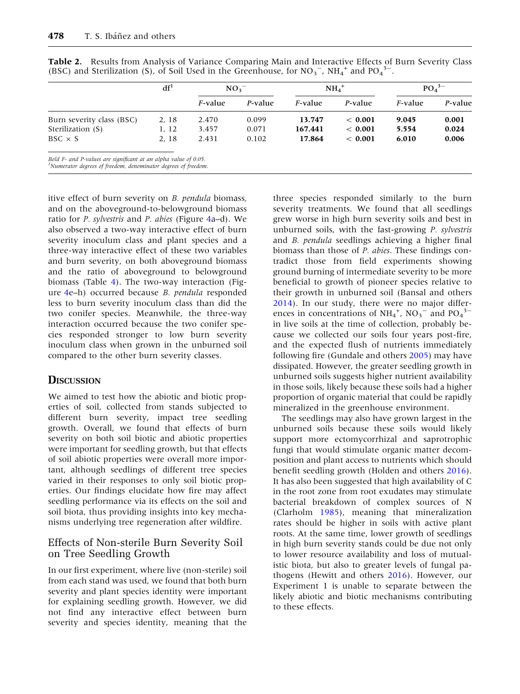|                                                                                                                                               | df <sup>1</sup> | $NO_3^-$        |         | $NH_4$ <sup>+</sup> |          | PO <sub>4</sub> <sup>3–</sup> |         |
|-----------------------------------------------------------------------------------------------------------------------------------------------|-----------------|-----------------|---------|---------------------|----------|-------------------------------|---------|
|                                                                                                                                               |                 | <i>F</i> -value | P-value | <i>F</i> -value     | P-value  | <i>F</i> -value               | P-value |
| Burn severity class (BSC)                                                                                                                     | 2, 18           | 2.470           | 0.099   | 13.747              | < 0.001  | 9.045                         | 0.001   |
| Sterilization (S)                                                                                                                             | 1, 12           | 3.457           | 0.071   | 167.441             | ~< 0.001 | 5.554                         | 0.024   |
| $BSC \times S$                                                                                                                                | 2, 18           | 2.431           | 0.102   | 17.864              | < 0.001  | 6.010                         | 0.006   |
| Bold F- and P-values are significant at an alpha value of 0.05.<br><sup>1</sup> Numerator degrees of freedom, denominator degrees of freedom. |                 |                 |         |                     |          |                               |         |

<span id="page-7-0"></span>Table 2. Results from Analysis of Variance Comparing Main and Interactive Effects of Burn Severity Class (BSC) and Sterilization (S), of Soil Used in the Greenhouse, for  $NO_3^-$ ,  $NH_4^+$  and  $PO_4^3^-$ .

itive effect of burn severity on B. pendula biomass, and on the aboveground-to-belowground biomass ratio for P. sylvestris and P. abies (Figure [4](#page-13-0)a–d). We also observed a two-way interactive effect of burn severity inoculum class and plant species and a three-way interactive effect of these two variables and burn severity, on both aboveground biomass and the ratio of aboveground to belowground biomass (Table [4](#page-11-0)). The two-way interaction (Figure [4e](#page-13-0)–h) occurred because B. pendula responded less to burn severity inoculum class than did the two conifer species. Meanwhile, the three-way interaction occurred because the two conifer species responded stronger to low burn severity inoculum class when grown in the unburned soil compared to the other burn severity classes.

## **DISCUSSION**

We aimed to test how the abiotic and biotic properties of soil, collected from stands subjected to different burn severity, impact tree seedling growth. Overall, we found that effects of burn severity on both soil biotic and abiotic properties were important for seedling growth, but that effects of soil abiotic properties were overall more important, although seedlings of different tree species varied in their responses to only soil biotic properties. Our findings elucidate how fire may affect seedling performance via its effects on the soil and soil biota, thus providing insights into key mechanisms underlying tree regeneration after wildfire.

# Effects of Non-sterile Burn Severity Soil on Tree Seedling Growth

In our first experiment, where live (non-sterile) soil from each stand was used, we found that both burn severity and plant species identity were important for explaining seedling growth. However, we did not find any interactive effect between burn severity and species identity, meaning that the

three species responded similarly to the burn severity treatments. We found that all seedlings grew worse in high burn severity soils and best in unburned soils, with the fast-growing P. sylvestris and B. pendula seedlings achieving a higher final biomass than those of P. abies. These findings contradict those from field experiments showing ground burning of intermediate severity to be more beneficial to growth of pioneer species relative to their growth in unburned soil (Bansal and others [2014\)](#page-13-0). In our study, there were no major differences in concentrations of  $NH_4^+$ ,  $NO_3^-$  and  $PO_4^3$ <sup>-</sup> in live soils at the time of collection, probably because we collected our soils four years post-fire, and the expected flush of nutrients immediately following fire (Gundale and others [2005](#page-14-0)) may have dissipated. However, the greater seedling growth in unburned soils suggests higher nutrient availability in those soils, likely because these soils had a higher proportion of organic material that could be rapidly mineralized in the greenhouse environment.

The seedlings may also have grown largest in the unburned soils because these soils would likely support more ectomycorrhizal and saprotrophic fungi that would stimulate organic matter decomposition and plant access to nutrients which should benefit seedling growth (Holden and others [2016](#page-14-0)). It has also been suggested that high availability of C in the root zone from root exudates may stimulate bacterial breakdown of complex sources of N (Clarholm [1985](#page-14-0)), meaning that mineralization rates should be higher in soils with active plant roots. At the same time, lower growth of seedlings in high burn severity stands could be due not only to lower resource availability and loss of mutualistic biota, but also to greater levels of fungal pathogens (Hewitt and others [2016\)](#page-14-0). However, our Experiment 1 is unable to separate between the likely abiotic and biotic mechanisms contributing to these effects.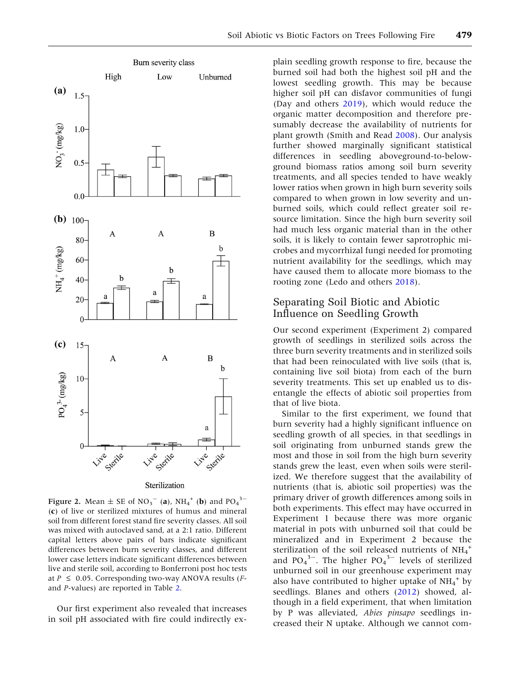<span id="page-8-0"></span>

Figure 2. Mean  $\pm$  SE of NO<sub>3</sub><sup>-</sup> (a), NH<sub>4</sub><sup>+</sup> (b) and PO<sub>4</sub><sup>3-</sup> (c) of live or sterilized mixtures of humus and mineral soil from different forest stand fire severity classes. All soil was mixed with autoclaved sand, at a 2:1 ratio. Different capital letters above pairs of bars indicate significant differences between burn severity classes, and different lower case letters indicate significant differences between live and sterile soil, according to Bonferroni post hoc tests at  $P \le 0.05$ . Corresponding two-way ANOVA results (*F*and P-values) are reported in Table [2](#page-7-0).

Our first experiment also revealed that increases in soil pH associated with fire could indirectly explain seedling growth response to fire, because the burned soil had both the highest soil pH and the lowest seedling growth. This may be because higher soil pH can disfavor communities of fungi (Day and others [2019\)](#page-14-0), which would reduce the organic matter decomposition and therefore presumably decrease the availability of nutrients for plant growth (Smith and Read [2008\)](#page-15-0). Our analysis further showed marginally significant statistical differences in seedling aboveground-to-belowground biomass ratios among soil burn severity treatments, and all species tended to have weakly lower ratios when grown in high burn severity soils compared to when grown in low severity and unburned soils, which could reflect greater soil resource limitation. Since the high burn severity soil had much less organic material than in the other soils, it is likely to contain fewer saprotrophic microbes and mycorrhizal fungi needed for promoting nutrient availability for the seedlings, which may have caused them to allocate more biomass to the rooting zone (Ledo and others [2018](#page-15-0)).

#### Separating Soil Biotic and Abiotic Influence on Seedling Growth

Our second experiment (Experiment 2) compared growth of seedlings in sterilized soils across the three burn severity treatments and in sterilized soils that had been reinoculated with live soils (that is, containing live soil biota) from each of the burn severity treatments. This set up enabled us to disentangle the effects of abiotic soil properties from that of live biota.

Similar to the first experiment, we found that burn severity had a highly significant influence on seedling growth of all species, in that seedlings in soil originating from unburned stands grew the most and those in soil from the high burn severity stands grew the least, even when soils were sterilized. We therefore suggest that the availability of nutrients (that is, abiotic soil properties) was the primary driver of growth differences among soils in both experiments. This effect may have occurred in Experiment 1 because there was more organic material in pots with unburned soil that could be mineralized and in Experiment 2 because the sterilization of the soil released nutrients of NH<sub>4</sub><sup>+</sup> and  $PO_4^3$ <sup>-</sup>. The higher  $PO_4^3$ <sup>-</sup> levels of sterilized unburned soil in our greenhouse experiment may also have contributed to higher uptake of  $NH_4^+$  by seedlings. Blanes and others ([2012\)](#page-14-0) showed, although in a field experiment, that when limitation by P was alleviated, Abies pinsapo seedlings increased their N uptake. Although we cannot com-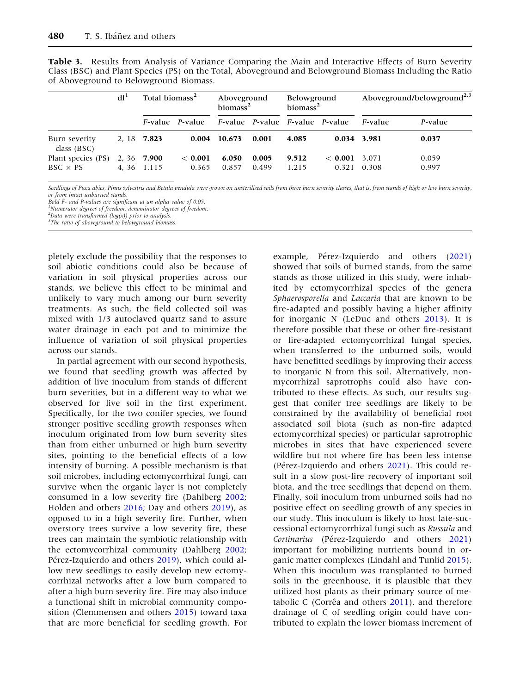|                              | df <sup>1</sup> | Total biomass <sup>2</sup> |                                 | Aboveground<br>biomass <sup>2</sup> |       | <b>Belowground</b><br>biomass <sup>2</sup>                      |             | Aboveground/belowground <sup>2,3</sup> |         |
|------------------------------|-----------------|----------------------------|---------------------------------|-------------------------------------|-------|-----------------------------------------------------------------|-------------|----------------------------------------|---------|
|                              |                 |                            | <i>F</i> -value <i>P</i> -value |                                     |       | <i>F</i> -value <i>P</i> -value <i>F</i> -value <i>P</i> -value |             | <i>F</i> -value                        | P-value |
| Burn severity<br>class (BSC) |                 | 2, 18 7.823                |                                 | 0.004 10.673                        | 0.001 | 4.085                                                           | 0.034 3.981 |                                        | 0.037   |
| Plant species (PS)           |                 | 2, 36 7.900                | < 0.001                         | 6.050                               | 0.005 | 9.512                                                           | < 0.001     | 3.071                                  | 0.059   |
| $BSC \times PS$              |                 | 4.36 1.115                 | 0.365                           | 0.857                               | 0.499 | 1.215                                                           | 0.321       | 0.308                                  | 0.997   |

<span id="page-9-0"></span>Table 3. Results from Analysis of Variance Comparing the Main and Interactive Effects of Burn Severity Class (BSC) and Plant Species (PS) on the Total, Aboveground and Belowground Biomass Including the Ratio of Aboveground to Belowground Biomass.

Seedlings of Picea abies, Pinus sylvestris and Betula pendula were grown on unsterilized soils from three burn severity classes, that is, from stands of high or low burn severity, or from intact unburned stands.

Bold F- and P-values are significant at an alpha value of 0.05.

<sup>1</sup>Numerator degrees of freedom, denominator degrees of freedom.

 $^{2}$ Data were transformed (log(x)) prior to analysis.

<sup>3</sup>The ratio of aboveground to belowground biomass.

pletely exclude the possibility that the responses to soil abiotic conditions could also be because of variation in soil physical properties across our stands, we believe this effect to be minimal and unlikely to vary much among our burn severity treatments. As such, the field collected soil was mixed with 1/3 autoclaved quartz sand to assure water drainage in each pot and to minimize the influence of variation of soil physical properties across our stands.

In partial agreement with our second hypothesis, we found that seedling growth was affected by addition of live inoculum from stands of different burn severities, but in a different way to what we observed for live soil in the first experiment. Specifically, for the two conifer species, we found stronger positive seedling growth responses when inoculum originated from low burn severity sites than from either unburned or high burn severity sites, pointing to the beneficial effects of a low intensity of burning. A possible mechanism is that soil microbes, including ectomycorrhizal fungi, can survive when the organic layer is not completely consumed in a low severity fire (Dahlberg [2002](#page-14-0); Holden and others [2016](#page-14-0); Day and others [2019](#page-14-0)), as opposed to in a high severity fire. Further, when overstory trees survive a low severity fire, these trees can maintain the symbiotic relationship with the ectomycorrhizal community (Dahlberg [2002](#page-14-0); Pérez-Izquierdo and others [2019](#page-15-0)), which could allow new seedlings to easily develop new ectomycorrhizal networks after a low burn compared to after a high burn severity fire. Fire may also induce a functional shift in microbial community composition (Clemmensen and others [2015](#page-14-0)) toward taxa that are more beneficial for seedling growth. For

example, Pérez-Izquierdo and others [\(2021](#page-15-0)) showed that soils of burned stands, from the same stands as those utilized in this study, were inhabited by ectomycorrhizal species of the genera Sphaerosporella and Laccaria that are known to be fire-adapted and possibly having a higher affinity for inorganic N (LeDuc and others [2013](#page-15-0)). It is therefore possible that these or other fire-resistant or fire-adapted ectomycorrhizal fungal species, when transferred to the unburned soils, would have benefitted seedlings by improving their access to inorganic N from this soil. Alternatively, nonmycorrhizal saprotrophs could also have contributed to these effects. As such, our results suggest that conifer tree seedlings are likely to be constrained by the availability of beneficial root associated soil biota (such as non-fire adapted ectomycorrhizal species) or particular saprotrophic microbes in sites that have experienced severe wildfire but not where fire has been less intense (Pérez-Izquierdo and others [2021](#page-15-0)). This could result in a slow post-fire recovery of important soil biota, and the tree seedlings that depend on them. Finally, soil inoculum from unburned soils had no positive effect on seedling growth of any species in our study. This inoculum is likely to host late-successional ectomycorrhizal fungi such as Russula and Cortinarius (Pérez-Izquierdo and others [2021](#page-15-0)) important for mobilizing nutrients bound in organic matter complexes (Lindahl and Tunlid [2015](#page-15-0)). When this inoculum was transplanted to burned soils in the greenhouse, it is plausible that they utilized host plants as their primary source of metabolic C (Corrêa and others  $2011$ ), and therefore drainage of C of seedling origin could have contributed to explain the lower biomass increment of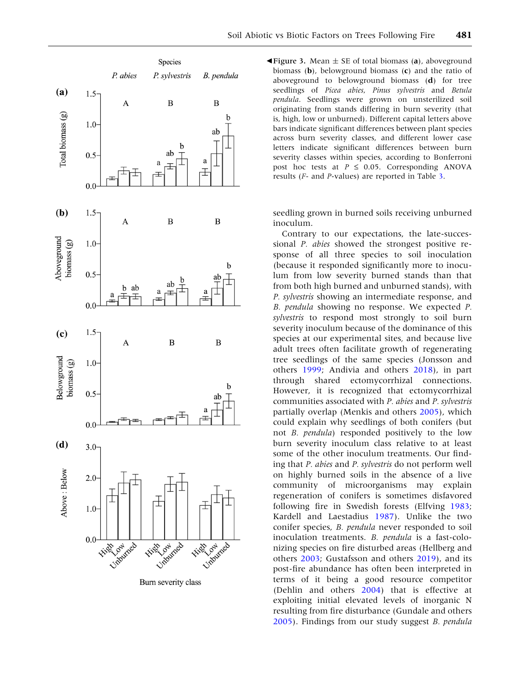<span id="page-10-0"></span>

Burn severity class

 $\blacktriangleleft$  **Figure 3.** Mean  $\pm$  SE of total biomass (a), aboveground biomass (b), belowground biomass (c) and the ratio of aboveground to belowground biomass (d) for tree seedlings of Picea abies, Pinus sylvestris and Betula pendula. Seedlings were grown on unsterilized soil originating from stands differing in burn severity (that is, high, low or unburned). Different capital letters above bars indicate significant differences between plant species across burn severity classes, and different lower case letters indicate significant differences between burn severity classes within species, according to Bonferroni post hoc tests at  $P \le 0.05$ . Corresponding ANOVA results (F- and P-values) are reported in Table [3](#page-9-0).

seedling grown in burned soils receiving unburned inoculum.

Contrary to our expectations, the late-successional P. abies showed the strongest positive response of all three species to soil inoculation (because it responded significantly more to inoculum from low severity burned stands than that from both high burned and unburned stands), with P. sylvestris showing an intermediate response, and B. pendula showing no response. We expected P. sylvestris to respond most strongly to soil burn severity inoculum because of the dominance of this species at our experimental sites, and because live adult trees often facilitate growth of regenerating tree seedlings of the same species (Jonsson and others [1999](#page-15-0); Andivia and others [2018](#page-13-0)), in part through shared ectomycorrhizal connections. However, it is recognized that ectomycorrhizal communities associated with P. abies and P. sylvestris partially overlap (Menkis and others [2005](#page-15-0)), which could explain why seedlings of both conifers (but not B. pendula) responded positively to the low burn severity inoculum class relative to at least some of the other inoculum treatments. Our finding that P. abies and P. sylvestris do not perform well on highly burned soils in the absence of a live community of microorganisms may explain regeneration of conifers is sometimes disfavored following fire in Swedish forests (Elfving [1983](#page-14-0); Kardell and Laestadius [1987](#page-15-0)). Unlike the two conifer species, B. pendula never responded to soil inoculation treatments. B. pendula is a fast-colonizing species on fire disturbed areas (Hellberg and others [2003](#page-14-0); Gustafsson and others [2019](#page-14-0)), and its post-fire abundance has often been interpreted in terms of it being a good resource competitor (Dehlin and others [2004\)](#page-14-0) that is effective at exploiting initial elevated levels of inorganic N resulting from fire disturbance (Gundale and others [2005\)](#page-14-0). Findings from our study suggest B. pendula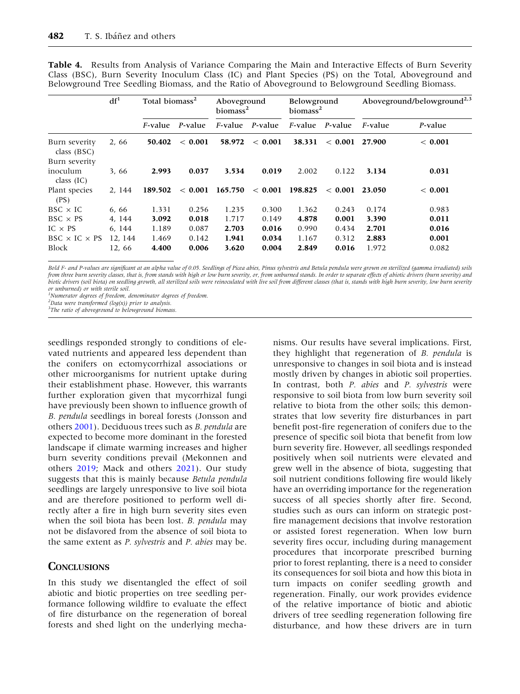|                                                 | df <sup>1</sup> |                 | Total biomass <sup>2</sup> |            | Aboveground<br>biomass <sup>2</sup> |                 | Belowground<br>biomass <sup>2</sup> |                 | Aboveground/belowground <sup>2,3</sup> |  |
|-------------------------------------------------|-----------------|-----------------|----------------------------|------------|-------------------------------------|-----------------|-------------------------------------|-----------------|----------------------------------------|--|
|                                                 |                 | <i>F</i> -value | P-value                    | $F$ -value | P-value                             | <i>F</i> -value | P-value                             | <i>F</i> -value | P-value                                |  |
| Burn severity<br>class $(BSC)$<br>Burn severity | 2,66            | 50.402          | < 0.001                    | 58.972     | < 0.001                             | 38.331          | < 0.001                             | 27.900          | < 0.001                                |  |
| inoculum<br>class $(IC)$                        | 3,66            | 2.993           | 0.037                      | 3.534      | 0.019                               | 2.002           | 0.122                               | 3.134           | 0.031                                  |  |
| Plant species<br>(PS)                           | 2.144           | 189.502         | < 0.001                    | 165.750    | < 0.001                             | 198.825         | < 0.001                             | 23.050          | < 0.001                                |  |
| $BSC \times IC$                                 | 6,66            | 1.331           | 0.256                      | 1.235      | 0.300                               | 1.362           | 0.243                               | 0.174           | 0.983                                  |  |
| $BSC \times PS$                                 | 4, 144          | 3.092           | 0.018                      | 1.717      | 0.149                               | 4.878           | 0.001                               | 3.390           | 0.011                                  |  |
| $IC \times PS$                                  | 6, 144          | 1.189           | 0.087                      | 2.703      | 0.016                               | 0.990           | 0.434                               | 2.701           | 0.016                                  |  |
| $BSC \times IC \times PS$                       | 12, 144         | 1.469           | 0.142                      | 1.941      | 0.034                               | 1.167           | 0.312                               | 2.883           | 0.001                                  |  |
| <b>Block</b>                                    | 12,66           | 4.400           | 0.006                      | 3.620      | 0.004                               | 2.849           | 0.016                               | 1.972           | 0.082                                  |  |

<span id="page-11-0"></span>Table 4. Results from Analysis of Variance Comparing the Main and Interactive Effects of Burn Severity Class (BSC), Burn Severity Inoculum Class (IC) and Plant Species (PS) on the Total, Aboveground and Belowground Tree Seedling Biomass, and the Ratio of Aboveground to Belowground Seedling Biomass.

Bold F- and P-values are significant at an alpha value of 0.05. Seedlings of Picea abies, Pinus sylvestris and Betula pendula were grown on sterilized (gamma irradiated) soils from three burn severity classes, that is, from stands with high or low burn severity, or, from unburned stands. In order to separate effects of abiotic drivers (burn severity) and biotic drivers (soil biota) on seedling growth, all sterilized soils were reinoculated with live soil from different classes (that is, stands with high burn severity, low burn severity or unburned) or with sterile soil.

<sup>1</sup>Numerator degrees of freedom, denominator degrees of freedom.

 $^{2}$ Data were transformed (log(x)) prior to analysis.

<sup>3</sup>The ratio of aboveground to belowground biomass.

seedlings responded strongly to conditions of elevated nutrients and appeared less dependent than the conifers on ectomycorrhizal associations or other microorganisms for nutrient uptake during their establishment phase. However, this warrants further exploration given that mycorrhizal fungi have previously been shown to influence growth of B. pendula seedlings in boreal forests (Jonsson and others [2001\)](#page-15-0). Deciduous trees such as B. pendula are expected to become more dominant in the forested landscape if climate warming increases and higher burn severity conditions prevail (Mekonnen and others [2019;](#page-15-0) Mack and others [2021](#page-15-0)). Our study suggests that this is mainly because Betula pendula seedlings are largely unresponsive to live soil biota and are therefore positioned to perform well directly after a fire in high burn severity sites even when the soil biota has been lost. B. pendula may not be disfavored from the absence of soil biota to the same extent as P. sylvestris and P. abies may be.

#### **CONCLUSIONS**

In this study we disentangled the effect of soil abiotic and biotic properties on tree seedling performance following wildfire to evaluate the effect of fire disturbance on the regeneration of boreal forests and shed light on the underlying mecha-

nisms. Our results have several implications. First, they highlight that regeneration of B. pendula is unresponsive to changes in soil biota and is instead mostly driven by changes in abiotic soil properties. In contrast, both P. abies and P. sylvestris were responsive to soil biota from low burn severity soil relative to biota from the other soils; this demonstrates that low severity fire disturbances in part benefit post-fire regeneration of conifers due to the presence of specific soil biota that benefit from low burn severity fire. However, all seedlings responded positively when soil nutrients were elevated and grew well in the absence of biota, suggesting that soil nutrient conditions following fire would likely have an overriding importance for the regeneration success of all species shortly after fire. Second, studies such as ours can inform on strategic postfire management decisions that involve restoration or assisted forest regeneration. When low burn severity fires occur, including during management procedures that incorporate prescribed burning prior to forest replanting, there is a need to consider its consequences for soil biota and how this biota in turn impacts on conifer seedling growth and regeneration. Finally, our work provides evidence of the relative importance of biotic and abiotic drivers of tree seedling regeneration following fire disturbance, and how these drivers are in turn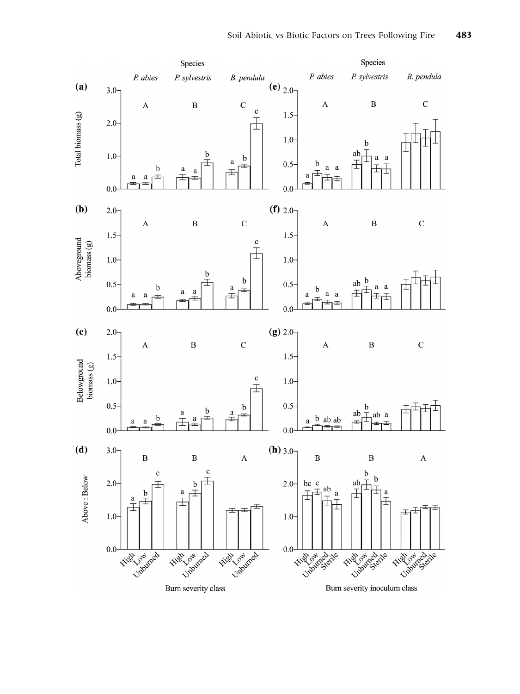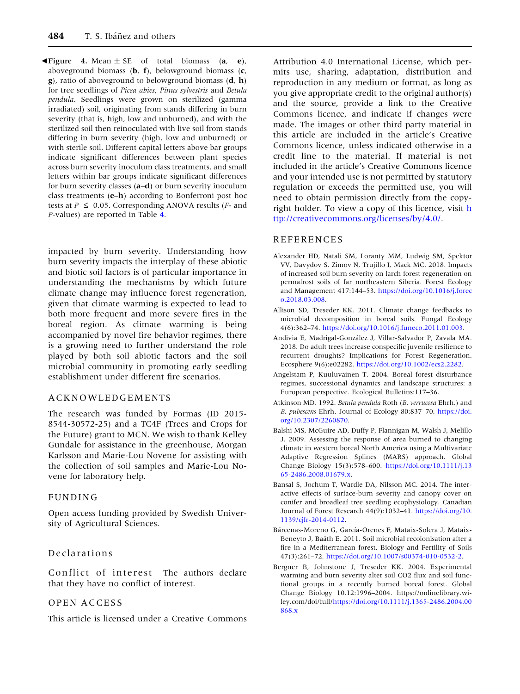<span id="page-13-0"></span>Figure 4. Mean  $\pm$  SE of total biomass (a, e), aboveground biomass  $(b, f)$ , belowground biomass  $(c, f)$ g), ratio of aboveground to belowground biomass (d, h) for tree seedlings of Picea abies, Pinus sylvestris and Betula pendula. Seedlings were grown on sterilized (gamma irradiated) soil, originating from stands differing in burn severity (that is, high, low and unburned), and with the sterilized soil then reinoculated with live soil from stands differing in burn severity (high, low and unburned) or with sterile soil. Different capital letters above bar groups indicate significant differences between plant species across burn severity inoculum class treatments, and small letters within bar groups indicate significant differences for burn severity classes (a–d) or burn severity inoculum class treatments  $(e-h)$  according to Bonferroni post hoc tests at  $P \le 0.05$ . Corresponding ANOVA results (*F*- and P-values) are reported in Table [4](#page-11-0).

impacted by burn severity. Understanding how burn severity impacts the interplay of these abiotic and biotic soil factors is of particular importance in understanding the mechanisms by which future climate change may influence forest regeneration, given that climate warming is expected to lead to both more frequent and more severe fires in the boreal region. As climate warming is being accompanied by novel fire behavior regimes, there is a growing need to further understand the role played by both soil abiotic factors and the soil microbial community in promoting early seedling establishment under different fire scenarios.

#### ACKNOWLEDGEMENTS

The research was funded by Formas (ID 2015- 8544-30572-25) and a TC4F (Trees and Crops for the Future) grant to MCN. We wish to thank Kelley Gundale for assistance in the greenhouse, Morgan Karlsson and Marie-Lou Novene for assisting with the collection of soil samples and Marie-Lou Novene for laboratory help.

#### FUNDING

Open access funding provided by Swedish University of Agricultural Sciences.

#### Declarations

Conflict of interest The authors declare that they have no conflict of interest.

#### OPEN ACCESS

This article is licensed under a Creative Commons

Attribution 4.0 International License, which permits use, sharing, adaptation, distribution and reproduction in any medium or format, as long as you give appropriate credit to the original author(s) and the source, provide a link to the Creative Commons licence, and indicate if changes were made. The images or other third party material in this article are included in the article's Creative Commons licence, unless indicated otherwise in a credit line to the material. If material is not included in the article's Creative Commons licence and your intended use is not permitted by statutory regulation or exceeds the permitted use, you will need to obtain permission directly from the copyright holder. To view a copy of this licence, visit [h](http://creativecommons.org/licenses/by/4.0/) [ttp://creativecommons.org/licenses/by/4.0/.](http://creativecommons.org/licenses/by/4.0/)

#### REFERENCES

- Alexander HD, Natali SM, Loranty MM, Ludwig SM, Spektor VV, Davydov S, Zimov N, Trujillo I, Mack MC. 2018. Impacts of increased soil burn severity on larch forest regeneration on permafrost soils of far northeastern Siberia. Forest Ecology and Management 417:144–53. [https://doi.org/10.1016/j.forec](https://doi.org/10.1016/j.foreco.2018.03.008) [o.2018.03.008](https://doi.org/10.1016/j.foreco.2018.03.008).
- Allison SD, Treseder KK. 2011. Climate change feedbacks to microbial decomposition in boreal soils. Fungal Ecology 4(6):362–74. [https://doi.org/10.1016/j.funeco.2011.01.003.](https://doi.org/10.1016/j.funeco.2011.01.003)
- Andivia E, Madrigal-González J, Villar-Salvador P, Zavala MA. 2018. Do adult trees increase conspecific juvenile resilience to recurrent droughts? Implications for Forest Regeneration. Ecosphere 9(6):e02282. <https://doi.org/10.1002/ecs2.2282>.
- Angelstam P, Kuuluvainen T. 2004. Boreal forest disturbance regimes, successional dynamics and landscape structures: a European perspective. Ecological Bulletins:117–36.
- Atkinson MD. 1992. Betula pendula Roth (B. verrucosa Ehrh.) and B. pubescens Ehrh. Journal of Ecology 80:837-70. [https://doi.](https://doi.org/10.2307/2260870) [org/10.2307/2260870](https://doi.org/10.2307/2260870).
- Balshi MS, McGuire AD, Duffy P, Flannigan M, Walsh J, Melillo J. 2009. Assessing the response of area burned to changing climate in western boreal North America using a Multivariate Adaptive Regression Splines (MARS) approach. Global Change Biology 15(3):578–600. [https://doi.org/10.1111/j.13](https://doi.org/10.1111/j.1365-2486.2008.01679.x) [65-2486.2008.01679.x](https://doi.org/10.1111/j.1365-2486.2008.01679.x).
- Bansal S, Jochum T, Wardle DA, Nilsson MC. 2014. The interactive effects of surface-burn severity and canopy cover on conifer and broadleaf tree seedling ecophysiology. Canadian Journal of Forest Research 44(9):1032–41. [https://doi.org/10.](https://doi.org/10.1139/cjfr-2014-0112) [1139/cjfr-2014-0112.](https://doi.org/10.1139/cjfr-2014-0112)
- Bárcenas-Moreno G, García-Orenes F, Mataix-Solera J, Mataix-Beneyto J, Bååth E. 2011. Soil microbial recolonisation after a fire in a Mediterranean forest. Biology and Fertility of Soils 47(3):261–72. <https://doi.org/10.1007/s00374-010-0532-2>.
- Bergner B, Johnstone J, Treseder KK. 2004. Experimental warming and burn severity alter soil CO2 flux and soil functional groups in a recently burned boreal forest. Global Change Biology 10.12:1996–2004. https://onlinelibrary.wiley.com/doi/full[/https://doi.org/10.1111/j.1365-2486.2004.00](https://doi.org/10.1111/j.1365-2486.2004.00868.x) [868.x](https://doi.org/10.1111/j.1365-2486.2004.00868.x)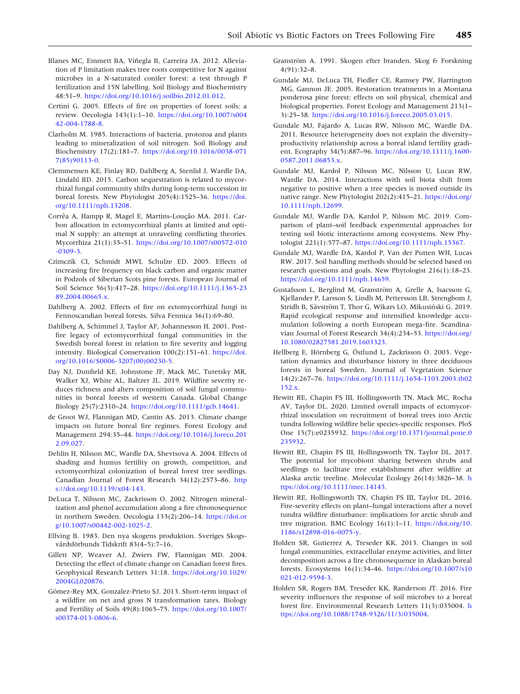- <span id="page-14-0"></span>Blanes MC, Emmett BA, Viñegla B, Carreira JA. 2012. Alleviation of P limitation makes tree roots competitive for N against microbes in a N-saturated conifer forest: a test through P fertilization and 15N labelling. Soil Biology and Biochemistry 48:51–9. <https://doi.org/10.1016/j.soilbio.2012.01.012>.
- Certini G. 2005. Effects of fire on properties of forest soils: a review. Oecologia 143(1):1–10. [https://doi.org/10.1007/s004](https://doi.org/10.1007/s00442-004-1788-8) [42-004-1788-8.](https://doi.org/10.1007/s00442-004-1788-8)
- Clarholm M. 1985. Interactions of bacteria, protozoa and plants leading to mineralization of soil nitrogen. Soil Biology and Biochemistry 17(2):181–7. [https://doi.org/10.1016/0038-071](https://doi.org/10.1016/0038-0717(85)90113-0) [7\(85\)90113-0](https://doi.org/10.1016/0038-0717(85)90113-0).
- Clemmensen KE, Finlay RD, Dahlberg A, Stenlid J, Wardle DA, Lindahl BD. 2015. Carbon sequestration is related to mycorrhizal fungal community shifts during long-term succession in boreal forests. New Phytologist 205(4):1525–36. [https://doi.](https://doi.org/10.1111/nph.13208) [org/10.1111/nph.13208.](https://doi.org/10.1111/nph.13208)
- Corrêa A, Hampp R, Magel E, Martins-Loução MA. 2011. Carbon allocation in ectomycorrhizal plants at limited and optimal N supply: an attempt at unraveling conflicting theories. Mycorrhiza 21(1):35–51. [https://doi.org/10.1007/s00572-010](https://doi.org/10.1007/s00572-010-0309-3) [-0309-3.](https://doi.org/10.1007/s00572-010-0309-3)
- Czimczik CI, Schmidt MWI, Schulze ED. 2005. Effects of increasing fire frequency on black carbon and organic matter in Podzols of Siberian Scots pine forests. European Journal of Soil Science 56(3):417–28. [https://doi.org/10.1111/j.1365-23](https://doi.org/10.1111/j.1365-2389.2004.00665.x) [89.2004.00665.x.](https://doi.org/10.1111/j.1365-2389.2004.00665.x)
- Dahlberg A. 2002. Effects of fire on ectomycorrhizal fungi in Fennoscandian boreal forests. Silva Fennica 36(1):69–80.
- Dahlberg A, Schimmel J, Taylor AF, Johannesson H. 2001. Postfire legacy of ectomycorrhizal fungal communities in the Swedish boreal forest in relation to fire severity and logging intensity. Biological Conservation 100(2):151–61. [https://doi.](https://doi.org/10.1016/S0006-3207(00)00230-5) [org/10.1016/S0006-3207\(00\)00230-5](https://doi.org/10.1016/S0006-3207(00)00230-5).
- Day NJ, Dunfield KE, Johnstone JF, Mack MC, Turetsky MR, Walker XJ, White AL, Baltzer JL. 2019. Wildfire severity reduces richness and alters composition of soil fungal communities in boreal forests of western Canada. Global Change Biology 25(7):2310–24. [https://doi.org/10.1111/gcb.14641.](https://doi.org/10.1111/gcb.14641)
- de Groot WJ, Flannigan MD, Cantin AS. 2013. Climate change impacts on future boreal fire regimes. Forest Ecology and Management 294:35–44. [https://doi.org/10.1016/j.foreco.201](https://doi.org/10.1016/j.foreco.2012.09.027) [2.09.027](https://doi.org/10.1016/j.foreco.2012.09.027).
- Dehlin H, Nilsson MC, Wardle DA, Shevtsova A. 2004. Effects of shading and humus fertility on growth, competition, and ectomycorrhizal colonization of boreal forest tree seedlings. Canadian Journal of Forest Research 34(12):2573–86. [http](https://doi.org/10.1139/x04-143) [s://doi.org/10.1139/x04-143.](https://doi.org/10.1139/x04-143)
- DeLuca T, Nilsson MC, Zackrisson O. 2002. Nitrogen mineralization and phenol accumulation along a fire chronosequence in northern Sweden. Oecologia 133(2):206–14. [https://doi.or](https://doi.org/10.1007/s00442-002-1025-2) [g/10.1007/s00442-002-1025-2](https://doi.org/10.1007/s00442-002-1025-2).
- Elfving B. 1983. Den nya skogens produktion. Sveriges Skogsvårdsförbunds Tidskrift 83(4–5):7–16.
- Gillett NP, Weaver AJ, Zwiers FW, Flannigan MD. 2004. Detecting the effect of climate change on Canadian forest fires. Geophysical Research Letters 31:18. [https://doi.org/10.1029/](https://doi.org/10.1029/2004GL020876) [2004GL020876](https://doi.org/10.1029/2004GL020876).
- Gómez-Rey MX, Gonzalez-Prieto SJ. 2013. Short-term impact of a wildfire on net and gross N transformation rates. Biology and Fertility of Soils 49(8):1065–75. [https://doi.org/10.1007/](https://doi.org/10.1007/s00374-013-0806-6) [s00374-013-0806-6.](https://doi.org/10.1007/s00374-013-0806-6)
- Granström A. 1991. Skogen efter branden. Skog & Forskning 4(91):32–8.
- Gundale MJ, DeLuca TH, Fiedler CE, Ramsey PW, Harrington MG, Gannon JE. 2005. Restoration treatments in a Montana ponderosa pine forest: effects on soil physical, chemical and biological properties. Forest Ecology and Management 213(1– 3):25–38. <https://doi.org/10.1016/j.foreco.2005.03.015>.
- Gundale MJ, Fajardo A, Lucas RW, Nilsson MC, Wardle DA. 2011. Resource heterogeneity does not explain the diversity– productivity relationship across a boreal island fertility gradient. Ecography 34(5):887–96. [https://doi.org/10.1111/j.1600-](https://doi.org/10.1111/j.1600-0587.2011.06853.x) [0587.2011.06853.x.](https://doi.org/10.1111/j.1600-0587.2011.06853.x)
- Gundale MJ, Kardol P, Nilsson MC, Nilsson U, Lucas RW, Wardle DA. 2014. Interactions with soil biota shift from negative to positive when a tree species is moved outside its native range. New Phytologist 202(2):415–21. [https://doi.org/](https://doi.org/10.1111/nph.12699) [10.1111/nph.12699](https://doi.org/10.1111/nph.12699).
- Gundale MJ, Wardle DA, Kardol P, Nilsson MC. 2019. Comparison of plant–soil feedback experimental approaches for testing soil biotic interactions among ecosystems. New Phytologist 221(1):577–87. <https://doi.org/10.1111/nph.15367>.
- Gundale MJ, Wardle DA, Kardol P, Van der Putten WH, Lucas RW. 2017. Soil handling methods should be selected based on research questions and goals. New Phytologist 216(1):18–23. <https://doi.org/10.1111/nph.14659>.
- Gustafsson L, Berglind M, Granström A, Grelle A, Isacsson G, Kjellander P, Larsson S, Lindh M, Pettersson LB, Strengbom J, Stridh B, Sävström T, Thor G, Wikars LO, Mikusiński G. 2019. Rapid ecological response and intensified knowledge accumulation following a north European mega-fire. Scandinavian Journal of Forest Research 34(4):234-53. [https://doi.org/](https://doi.org/10.1080/02827581.2019.1603323) [10.1080/02827581.2019.1603323.](https://doi.org/10.1080/02827581.2019.1603323)
- Hellberg E, Hörnberg G, Östlund L, Zackrisson O. 2003. Vegetation dynamics and disturbance history in three deciduous forests in boreal Sweden. Journal of Vegetation Science 14(2):267–76. [https://doi.org/10.1111/j.1654-1103.2003.tb02](https://doi.org/10.1111/j.1654-1103.2003.tb02152.x) [152.x](https://doi.org/10.1111/j.1654-1103.2003.tb02152.x).
- Hewitt RE, Chapin FS III, Hollingsworth TN, Mack MC, Rocha AV, Taylor DL. 2020. Limited overall impacts of ectomycorrhizal inoculation on recruitment of boreal trees into Arctic tundra following wildfire belie species-specific responses. PloS One 15(7):e0235932. [https://doi.org/10.1371/journal.pone.0](https://doi.org/10.1371/journal.pone.0235932) [235932.](https://doi.org/10.1371/journal.pone.0235932)
- Hewitt RE, Chapin FS III, Hollingsworth TN, Taylor DL. 2017. The potential for mycobiont sharing between shrubs and seedlings to facilitate tree establishment after wildfire at Alaska arctic treeline. Molecular Ecology 26(14):3826–38. [h](https://doi.org/10.1111/mec.14143) [ttps://doi.org/10.1111/mec.14143.](https://doi.org/10.1111/mec.14143)
- Hewitt RE, Hollingsworth TN, Chapin FS III, Taylor DL. 2016. Fire-severity effects on plant–fungal interactions after a novel tundra wildfire disturbance: implications for arctic shrub and tree migration. BMC Ecology 16(1):1–11. [https://doi.org/10.](https://doi.org/10.1186/s12898-016-0075-y) [1186/s12898-016-0075-y](https://doi.org/10.1186/s12898-016-0075-y).
- Holden SR, Gutierrez A, Treseder KK. 2013. Changes in soil fungal communities, extracellular enzyme activities, and litter decomposition across a fire chronosequence in Alaskan boreal forests. Ecosystems 16(1):34–46. [https://doi.org/10.1007/s10](https://doi.org/10.1007/s10021-012-9594-3) [021-012-9594-3.](https://doi.org/10.1007/s10021-012-9594-3)
- Holden SR, Rogers BM, Treseder KK, Randerson JT. 2016. Fire severity influences the response of soil microbes to a boreal forest fire. Environmental Research Letters 11(3):035004. [h](https://doi.org/10.1088/1748-9326/11/3/035004) [ttps://doi.org/10.1088/1748-9326/11/3/035004.](https://doi.org/10.1088/1748-9326/11/3/035004)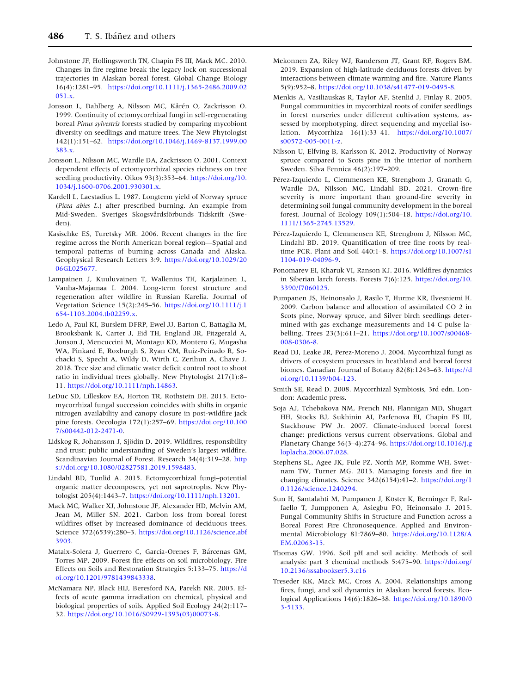- <span id="page-15-0"></span>Johnstone JF, Hollingsworth TN, Chapin FS III, Mack MC. 2010. Changes in fire regime break the legacy lock on successional trajectories in Alaskan boreal forest. Global Change Biology 16(4):1281–95. [https://doi.org/10.1111/j.1365-2486.2009.02](https://doi.org/10.1111/j.1365-2486.2009.02051.x) [051.x](https://doi.org/10.1111/j.1365-2486.2009.02051.x).
- Jonsson L, Dahlberg A, Nilsson MC, Kårén O, Zackrisson O. 1999. Continuity of ectomycorrhizal fungi in self-regenerating boreal Pinus sylvestris forests studied by comparing mycobiont diversity on seedlings and mature trees. The New Phytologist 142(1):151–62. [https://doi.org/10.1046/j.1469-8137.1999.00](https://doi.org/10.1046/j.1469-8137.1999.00383.x) [383.x](https://doi.org/10.1046/j.1469-8137.1999.00383.x).
- Jonsson L, Nilsson MC, Wardle DA, Zackrisson O. 2001. Context dependent effects of ectomycorrhizal species richness on tree seedling productivity. Oikos 93(3):353–64. [https://doi.org/10.](https://doi.org/10.1034/j.1600-0706.2001.930301.x) [1034/j.1600-0706.2001.930301.x.](https://doi.org/10.1034/j.1600-0706.2001.930301.x)
- Kardell L, Laestadius L. 1987. Longterm yield of Norway spruce (Picea abies L.) after prescribed burning. An example from Mid-Sweden. Sveriges Skogsvårdsförbunds Tidskrift (Sweden).
- Kasischke ES, Turetsky MR. 2006. Recent changes in the fire regime across the North American boreal region—Spatial and temporal patterns of burning across Canada and Alaska. Geophysical Research Letters 3:9. [https://doi.org/10.1029/20](https://doi.org/10.1029/2006GL025677) [06GL025677.](https://doi.org/10.1029/2006GL025677)
- Lampainen J, Kuuluvainen T, Wallenius TH, Karjalainen L, Vanha-Majamaa I. 2004. Long-term forest structure and regeneration after wildfire in Russian Karelia. Journal of Vegetation Science 15(2):245–56. [https://doi.org/10.1111/j.1](https://doi.org/10.1111/j.1654-1103.2004.tb02259.x) [654-1103.2004.tb02259.x.](https://doi.org/10.1111/j.1654-1103.2004.tb02259.x)
- Ledo A, Paul KI, Burslem DFRP, Ewel JJ, Barton C, Battaglia M, Brooksbank K, Carter J, Eid TH, England JR, Fitzgerald A, Jonson J, Mencuccini M, Montagu KD, Montero G, Mugasha WA, Pinkard E, Roxburgh S, Ryan CM, Ruiz-Peinado R, Sochacki S, Specht A, Wildy D, Wirth C, Zerihun A, Chave J. 2018. Tree size and climatic water deficit control root to shoot ratio in individual trees globally. New Phytologist 217(1):8– 11. [https://doi.org/10.1111/nph.14863.](https://doi.org/10.1111/nph.14863)
- LeDuc SD, Lilleskov EA, Horton TR, Rothstein DE. 2013. Ectomycorrhizal fungal succession coincides with shifts in organic nitrogen availability and canopy closure in post-wildfire jack pine forests. Oecologia 172(1):257–69. [https://doi.org/10.100](https://doi.org/10.1007/s00442-012-2471-0) [7/s00442-012-2471-0](https://doi.org/10.1007/s00442-012-2471-0).
- Lidskog R, Johansson J, Sjödin D. 2019. Wildfires, responsibility and trust: public understanding of Sweden's largest wildfire. Scandinavian Journal of Forest. Research 34(4):319-28. [http](https://doi.org/10.1080/02827581.2019.1598483) [s://doi.org/10.1080/02827581.2019.1598483](https://doi.org/10.1080/02827581.2019.1598483).
- Lindahl BD, Tunlid A. 2015. Ectomycorrhizal fungi–potential organic matter decomposers, yet not saprotrophs. New Phytologist 205(4):1443–7. <https://doi.org/10.1111/nph.13201>.
- Mack MC, Walker XJ, Johnstone JF, Alexander HD, Melvin AM, Jean M, Miller SN. 2021. Carbon loss from boreal forest wildfires offset by increased dominance of deciduous trees. Science 372(6539):280–3. [https://doi.org/10.1126/science.abf](https://doi.org/10.1126/science.abf3903) [3903.](https://doi.org/10.1126/science.abf3903)
- Mataix-Solera J, Guerrero C, García-Orenes F, Bárcenas GM, Torres MP. 2009. Forest fire effects on soil microbiology. Fire Effects on Soils and Restoration Strategies 5:133–75. [https://d](https://doi.org/10.1201/9781439843338) [oi.org/10.1201/9781439843338](https://doi.org/10.1201/9781439843338).
- McNamara NP, Black HIJ, Beresford NA, Parekh NR. 2003. Effects of acute gamma irradiation on chemical, physical and biological properties of soils. Applied Soil Ecology 24(2):117– 32. [https://doi.org/10.1016/S0929-1393\(03\)00073-8](https://doi.org/10.1016/S0929-1393(03)00073-8).
- Mekonnen ZA, Riley WJ, Randerson JT, Grant RF, Rogers BM. 2019. Expansion of high-latitude deciduous forests driven by interactions between climate warming and fire. Nature Plants 5(9):952–8. [https://doi.org/10.1038/s41477-019-0495-8.](https://doi.org/10.1038/s41477-019-0495-8)
- Menkis A, Vasiliauskas R, Taylor AF, Stenlid J, Finlay R. 2005. Fungal communities in mycorrhizal roots of conifer seedlings in forest nurseries under different cultivation systems, assessed by morphotyping, direct sequencing and mycelial isolation. Mycorrhiza 16(1):33–41. [https://doi.org/10.1007/](https://doi.org/10.1007/s00572-005-0011-z) [s00572-005-0011-z.](https://doi.org/10.1007/s00572-005-0011-z)
- Nilsson U, Elfving B, Karlsson K. 2012. Productivity of Norway spruce compared to Scots pine in the interior of northern Sweden. Silva Fennica 46(2):197–209.
- Pérez-Izquierdo L, Clemmensen KE, Strengbom J, Granath G, Wardle DA, Nilsson MC, Lindahl BD. 2021. Crown-fire severity is more important than ground-fire severity in determining soil fungal community development in the boreal forest. Journal of Ecology 109(1):504–18. [https://doi.org/10.](https://doi.org/10.1111/1365-2745.13529) [1111/1365-2745.13529](https://doi.org/10.1111/1365-2745.13529).
- Pérez-Izquierdo L, Clemmensen KE, Strengbom J, Nilsson MC, Lindahl BD. 2019. Quantification of tree fine roots by realtime PCR. Plant and Soil 440:1–8. [https://doi.org/10.1007/s1](https://doi.org/10.1007/s11104-019-04096-9) [1104-019-04096-9.](https://doi.org/10.1007/s11104-019-04096-9)
- Ponomarev EI, Kharuk VI, Ranson KJ. 2016. Wildfires dynamics in Siberian larch forests. Forests 7(6):125. [https://doi.org/10.](https://doi.org/10.3390/f7060125) [3390/f7060125](https://doi.org/10.3390/f7060125).
- Pumpanen JS, Heinonsalo J, Rasilo T, Hurme KR, Ilvesniemi H. 2009. Carbon balance and allocation of assimilated CO 2 in Scots pine, Norway spruce, and Silver birch seedlings determined with gas exchange measurements and 14 C pulse labelling. Trees 23(3):611–21. [https://doi.org/10.1007/s00468-](https://doi.org/10.1007/s00468-008-0306-8) [008-0306-8.](https://doi.org/10.1007/s00468-008-0306-8)
- Read DJ, Leake JR, Perez-Moreno J. 2004. Mycorrhizal fungi as drivers of ecosystem processes in heathland and boreal forest biomes. Canadian Journal of Botany 82(8):1243–63. [https://d](https://doi.org/10.1139/b04-123) [oi.org/10.1139/b04-123.](https://doi.org/10.1139/b04-123)
- Smith SE, Read D. 2008. Mycorrhizal Symbiosis, 3rd edn. London: Academic press.
- Soja AJ, Tchebakova NM, French NH, Flannigan MD, Shugart HH, Stocks BJ, Sukhinin AI, Parfenova EI, Chapin FS III, Stackhouse PW Jr. 2007. Climate-induced boreal forest change: predictions versus current observations. Global and Planetary Change 56(3–4):274–96. [https://doi.org/10.1016/j.g](https://doi.org/10.1016/j.gloplacha.2006.07.028) [loplacha.2006.07.028](https://doi.org/10.1016/j.gloplacha.2006.07.028).
- Stephens SL, Agee JK, Fule PZ, North MP, Romme WH, Swetnam TW, Turner MG. 2013. Managing forests and fire in changing climates. Science 342(6154):41–2. [https://doi.org/1](https://doi.org/10.1126/science.1240294) [0.1126/science.1240294.](https://doi.org/10.1126/science.1240294)
- Sun H, Santalahti M, Pumpanen J, Köster K, Berninger F, Raffaello T, Jumpponen A, Asiegbu FO, Heinonsalo J. 2015. Fungal Community Shifts in Structure and Function across a Boreal Forest Fire Chronosequence. Applied and Environmental Microbiology 81:7869–80. [https://doi.org/10.1128/A](https://doi.org/10.1128/AEM.02063-15) [EM.02063-15.](https://doi.org/10.1128/AEM.02063-15)
- Thomas GW. 1996. Soil pH and soil acidity. Methods of soil analysis: part 3 chemical methods 5:475–90. [https://doi.org/](https://doi.org/10.2136/sssabookser5.3.c16) [10.2136/sssabookser5.3.c16](https://doi.org/10.2136/sssabookser5.3.c16)
- Treseder KK, Mack MC, Cross A. 2004. Relationships among fires, fungi, and soil dynamics in Alaskan boreal forests. Ecological Applications 14(6):1826–38. [https://doi.org/10.1890/0](https://doi.org/10.1890/03-5133) [3-5133](https://doi.org/10.1890/03-5133).